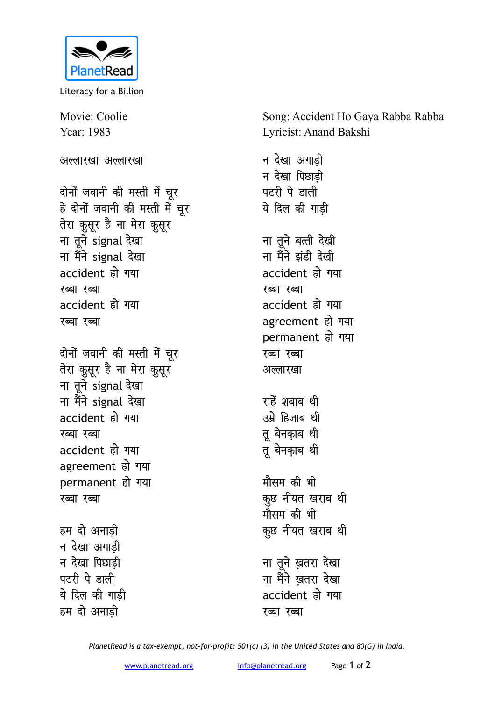

Literacy for a Billion

Movie: Coolie Year: 1983

अल्लारखा अल्लारखा

दोनों जवानी की मस्ती में चूर हे दोनों जवानी की मस्ती में चूर तेरा कुसूर है ना मेरा कुसूर ना तूने signal देखा ना मैंने signal देखा accident हो गया रब्बा रब्बा accident हो गया रब्बा रब्बा

दोनों जवानी की मस्ती में चूर तेरा कुसूर है ना मेरा कुसूर ना तूने signal देखा ना मैंने signal देखा accident हो गया रब्बा रब्बा accident हो गया agreement हो गया permanent हो गया रब्बा रब्बा

हम दो अनाडी न देखा अगाडी न देखा पिछाडी पटरी पे डाली ये दिल की गाडी हम दो अनाडी

Song: Accident Ho Gaya Rabba Rabba Lyricist: Anand Bakshi

न देखा अगाडी न देखा पिछाडी पटरी पे डाली ये दिल की गाडी ना तुने बत्ती देखी ना मैंने झंडी देखी accident हो गया रब्बा रब्बा accident हो गया agreement हो गया permanent हो गया रब्बा रब्बा अल्लारखा राहें शबाब थी उम्रे हिजाब थी तु बेनकाब थी तू बेनकाब थी मौसम की भी कुछ नीयत खराब थी मौसम की भी कुछ नीयत खराब थी ना तूने ख़तरा देखा ना मैंने खतरा देखा accident हो गया रब्बा रब्बा

PlanetRead is a tax-exempt, not-for-profit: 501(c) (3) in the United States and 80(G) in India.